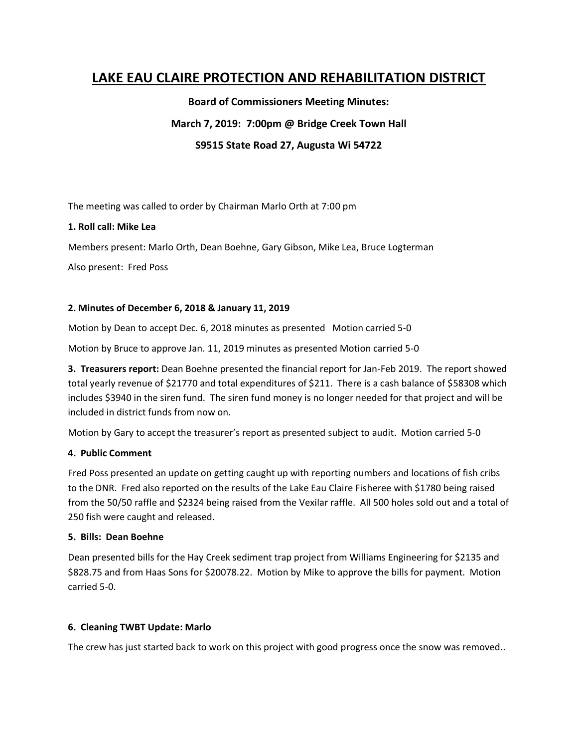# **LAKE EAU CLAIRE PROTECTION AND REHABILITATION DISTRICT**

**Board of Commissioners Meeting Minutes: March 7, 2019: 7:00pm @ Bridge Creek Town Hall**

**S9515 State Road 27, Augusta Wi 54722**

The meeting was called to order by Chairman Marlo Orth at 7:00 pm

#### **1. Roll call: Mike Lea**

Members present: Marlo Orth, Dean Boehne, Gary Gibson, Mike Lea, Bruce Logterman

Also present: Fred Poss

#### **2. Minutes of December 6, 2018 & January 11, 2019**

Motion by Dean to accept Dec. 6, 2018 minutes as presented Motion carried 5-0

Motion by Bruce to approve Jan. 11, 2019 minutes as presented Motion carried 5-0

**3. Treasurers report:** Dean Boehne presented the financial report for Jan-Feb 2019. The report showed total yearly revenue of \$21770 and total expenditures of \$211. There is a cash balance of \$58308 which includes \$3940 in the siren fund. The siren fund money is no longer needed for that project and will be included in district funds from now on.

Motion by Gary to accept the treasurer's report as presented subject to audit. Motion carried 5-0

#### **4. Public Comment**

Fred Poss presented an update on getting caught up with reporting numbers and locations of fish cribs to the DNR. Fred also reported on the results of the Lake Eau Claire Fisheree with \$1780 being raised from the 50/50 raffle and \$2324 being raised from the Vexilar raffle. All 500 holes sold out and a total of 250 fish were caught and released.

#### **5. Bills: Dean Boehne**

Dean presented bills for the Hay Creek sediment trap project from Williams Engineering for \$2135 and \$828.75 and from Haas Sons for \$20078.22. Motion by Mike to approve the bills for payment. Motion carried 5-0.

#### **6. Cleaning TWBT Update: Marlo**

The crew has just started back to work on this project with good progress once the snow was removed..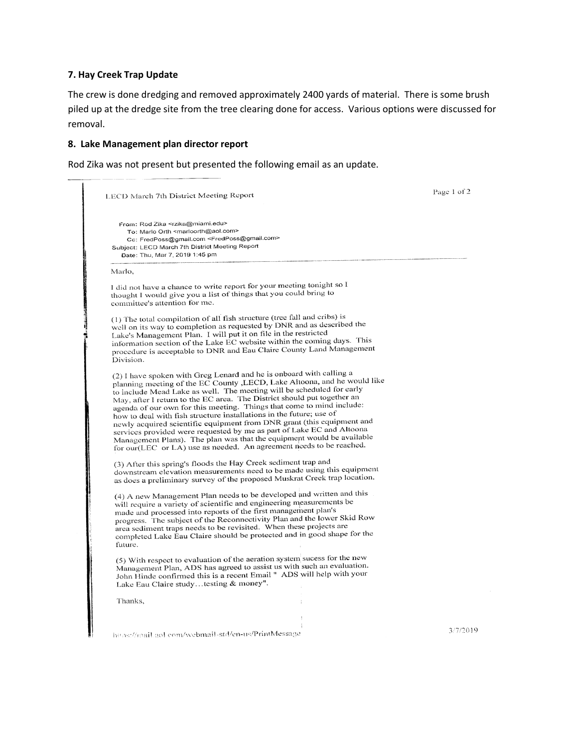#### **7. Hay Creek Trap Update**

The crew is done dredging and removed approximately 2400 yards of material. There is some brush piled up at the dredge site from the tree clearing done for access. Various options were discussed for removal.

### **8. Lake Management plan director report**

Rod Zika was not present but presented the following email as an update.

| LECD March 7th District Meeting Report                                                                                                                                                                                                                                                                                                                                                                                                                                                                                                                                                                                                                                                                                                                  | Page 1 of 2 |
|---------------------------------------------------------------------------------------------------------------------------------------------------------------------------------------------------------------------------------------------------------------------------------------------------------------------------------------------------------------------------------------------------------------------------------------------------------------------------------------------------------------------------------------------------------------------------------------------------------------------------------------------------------------------------------------------------------------------------------------------------------|-------------|
| From: Rod Zika <rzika@miami.edu><br/>To: Marlo Orth <marloorth@aol.com><br/>Cc: FredPoss@gmail.com <fredposs@gmail.com><br/>Subject: LECD March 7th District Meeting Report<br/>Date: Thu, Mar 7, 2019 1:45 pm</fredposs@gmail.com></marloorth@aol.com></rzika@miami.edu>                                                                                                                                                                                                                                                                                                                                                                                                                                                                               |             |
| Marlo,                                                                                                                                                                                                                                                                                                                                                                                                                                                                                                                                                                                                                                                                                                                                                  |             |
| I did not have a chance to write report for your meeting tonight so I<br>thought I would give you a list of things that you could bring to<br>committee's attention for me.                                                                                                                                                                                                                                                                                                                                                                                                                                                                                                                                                                             |             |
| (1) The total compilation of all fish structure (tree fall and cribs) is<br>well on its way to completion as requested by DNR and as described the<br>Lake's Management Plan. I will put it on file in the restricted<br>information section of the Lake EC website within the coming days. This<br>procedure is acceptable to DNR and Eau Claire County Land Management<br>Division.                                                                                                                                                                                                                                                                                                                                                                   |             |
| (2) I have spoken with Greg Lenard and he is onboard with calling a<br>planning meeting of the EC County , LECD, Lake Altoona, and he would like<br>to include Mead Lake as well. The meeting will be scheduled for early<br>May, after I return to the EC area. The District should put together an<br>agenda of our own for this meeting. Things that come to mind include:<br>how to deal with fish structure installations in the future; use of<br>newly acquired scientific equipment from DNR grant (this equipment and<br>services provided were requested by me as part of Lake EC and Altoona<br>Management Plans). The plan was that the equipment would be available<br>for our(LEC or LA) use as needed. An agreement needs to be reached. |             |
| (3) After this spring's floods the Hay Creek sediment trap and<br>downstream elevation measurements need to be made using this equipment<br>as does a preliminary survey of the proposed Muskrat Creek trap location.                                                                                                                                                                                                                                                                                                                                                                                                                                                                                                                                   |             |
| (4) A new Management Plan needs to be developed and written and this<br>will require a variety of scientific and engineering measurements be<br>made and processed into reports of the first management plan's<br>progress. The subject of the Reconnectivity Plan and the lower Skid Row<br>area sediment traps needs to be revisited. When these projects are<br>completed Lake Eau Claire should be protected and in good shape for the<br>future.                                                                                                                                                                                                                                                                                                   |             |
| (5) With respect to evaluation of the aeration system sucess for the new<br>Management Plan, ADS has agreed to assist us with such an evaluation.<br>John Hinde confirmed this is a recent Email " ADS will help with your<br>Lake Eau Claire studytesting & money".                                                                                                                                                                                                                                                                                                                                                                                                                                                                                    |             |
| Thanks,                                                                                                                                                                                                                                                                                                                                                                                                                                                                                                                                                                                                                                                                                                                                                 |             |
| https://mail.aol.com/webmail-std/en-us/PrintMessage                                                                                                                                                                                                                                                                                                                                                                                                                                                                                                                                                                                                                                                                                                     | 3/7/2019    |